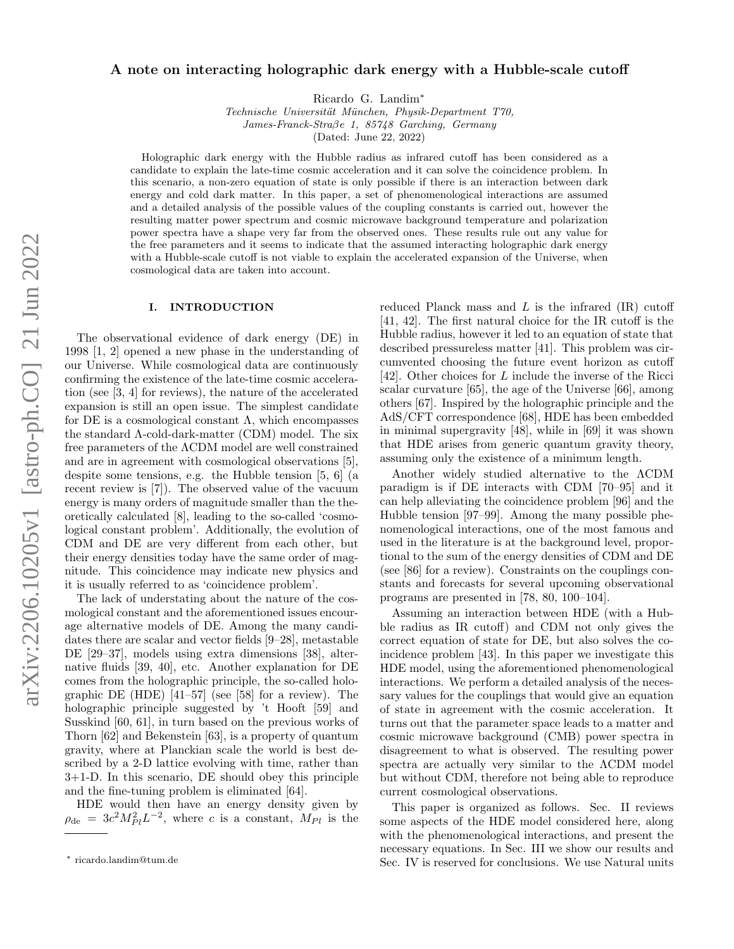# A note on interacting holographic dark energy with a Hubble-scale cutoff

Ricardo G. Landim[∗](#page-0-0)

Technische Universität München, Physik-Department T70, James-Franck-Straβe 1, 85748 Garching, Germany (Dated: June 22, 2022)

Holographic dark energy with the Hubble radius as infrared cutoff has been considered as a candidate to explain the late-time cosmic acceleration and it can solve the coincidence problem. In this scenario, a non-zero equation of state is only possible if there is an interaction between dark energy and cold dark matter. In this paper, a set of phenomenological interactions are assumed and a detailed analysis of the possible values of the coupling constants is carried out, however the resulting matter power spectrum and cosmic microwave background temperature and polarization power spectra have a shape very far from the observed ones. These results rule out any value for the free parameters and it seems to indicate that the assumed interacting holographic dark energy with a Hubble-scale cutoff is not viable to explain the accelerated expansion of the Universe, when cosmological data are taken into account.

#### I. INTRODUCTION

The observational evidence of dark energy (DE) in 1998 [\[1,](#page-4-0) [2\]](#page-4-1) opened a new phase in the understanding of our Universe. While cosmological data are continuously confirming the existence of the late-time cosmic acceleration (see [\[3,](#page-4-2) [4\]](#page-4-3) for reviews), the nature of the accelerated expansion is still an open issue. The simplest candidate for DE is a cosmological constant  $\Lambda$ , which encompasses the standard Λ-cold-dark-matter (CDM) model. The six free parameters of the ΛCDM model are well constrained and are in agreement with cosmological observations [\[5\]](#page-4-4), despite some tensions, e.g. the Hubble tension [\[5,](#page-4-4) [6\]](#page-4-5) (a recent review is [\[7\]](#page-4-6)). The observed value of the vacuum energy is many orders of magnitude smaller than the theoretically calculated [\[8\]](#page-4-7), leading to the so-called 'cosmological constant problem'. Additionally, the evolution of CDM and DE are very different from each other, but their energy densities today have the same order of magnitude. This coincidence may indicate new physics and it is usually referred to as 'coincidence problem'.

The lack of understating about the nature of the cosmological constant and the aforementioned issues encourage alternative models of DE. Among the many candidates there are scalar and vector fields [\[9–](#page-4-8)[28\]](#page-4-9), metastable DE [\[29–](#page-4-10)[37\]](#page-5-0), models using extra dimensions [\[38\]](#page-5-1), alternative fluids [\[39,](#page-5-2) [40\]](#page-5-3), etc. Another explanation for DE comes from the holographic principle, the so-called holographic DE (HDE) [\[41–](#page-5-4)[57\]](#page-5-5) (see [\[58\]](#page-5-6) for a review). The holographic principle suggested by 't Hooft [\[59\]](#page-5-7) and Susskind [\[60,](#page-5-8) [61\]](#page-5-9), in turn based on the previous works of Thorn [\[62\]](#page-5-10) and Bekenstein [\[63\]](#page-5-11), is a property of quantum gravity, where at Planckian scale the world is best described by a 2-D lattice evolving with time, rather than 3+1-D. In this scenario, DE should obey this principle and the fine-tuning problem is eliminated [\[64\]](#page-5-12).

HDE would then have an energy density given by  $\rho_{\rm de} = 3c^2 M_{Pl}^2 L^{-2}$ , where c is a constant,  $M_{Pl}$  is the reduced Planck mass and  $L$  is the infrared  $(IR)$  cutoff [\[41,](#page-5-4) [42\]](#page-5-13). The first natural choice for the IR cutoff is the Hubble radius, however it led to an equation of state that described pressureless matter [\[41\]](#page-5-4). This problem was circumvented choosing the future event horizon as cutoff [\[42\]](#page-5-13). Other choices for L include the inverse of the Ricci scalar curvature [\[65\]](#page-5-14), the age of the Universe [\[66\]](#page-5-15), among others [\[67\]](#page-5-16). Inspired by the holographic principle and the AdS/CFT correspondence [\[68\]](#page-5-17), HDE has been embedded in minimal supergravity [\[48\]](#page-5-18), while in [\[69\]](#page-5-19) it was shown that HDE arises from generic quantum gravity theory, assuming only the existence of a minimum length.

Another widely studied alternative to the ΛCDM paradigm is if DE interacts with CDM [\[70–](#page-5-20)[95\]](#page-6-0) and it can help alleviating the coincidence problem [\[96\]](#page-6-1) and the Hubble tension [\[97](#page-6-2)[–99\]](#page-6-3). Among the many possible phenomenological interactions, one of the most famous and used in the literature is at the background level, proportional to the sum of the energy densities of CDM and DE (see [\[86\]](#page-6-4) for a review). Constraints on the couplings constants and forecasts for several upcoming observational programs are presented in [\[78,](#page-6-5) [80,](#page-6-6) [100–](#page-6-7)[104\]](#page-6-8).

Assuming an interaction between HDE (with a Hubble radius as IR cutoff) and CDM not only gives the correct equation of state for DE, but also solves the coincidence problem [\[43\]](#page-5-21). In this paper we investigate this HDE model, using the aforementioned phenomenological interactions. We perform a detailed analysis of the necessary values for the couplings that would give an equation of state in agreement with the cosmic acceleration. It turns out that the parameter space leads to a matter and cosmic microwave background (CMB) power spectra in disagreement to what is observed. The resulting power spectra are actually very similar to the ΛCDM model but without CDM, therefore not being able to reproduce current cosmological observations.

This paper is organized as follows. Sec. [II](#page-1-0) reviews some aspects of the HDE model considered here, along with the phenomenological interactions, and present the necessary equations. In Sec. [III](#page-2-0) we show our results and Sec. [IV](#page-3-0) is reserved for conclusions. We use Natural units

<span id="page-0-0"></span><sup>∗</sup> [ricardo.landim@tum.de](mailto:ricardo.landim@tum.de)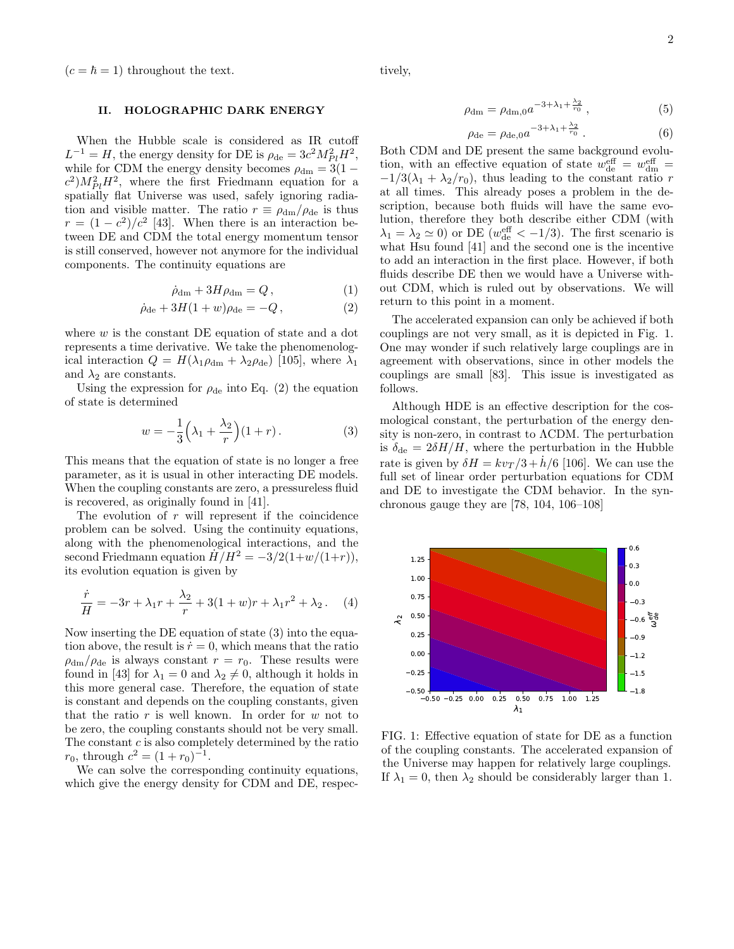$(c = \hbar = 1)$  throughout the text.

## <span id="page-1-0"></span>II. HOLOGRAPHIC DARK ENERGY

When the Hubble scale is considered as IR cutoff  $L^{-1} = H$ , the energy density for DE is  $\rho_{\rm de} = 3c^2 M_{Pl}^2 H^2$ , while for CDM the energy density becomes  $\rho_{dm} = 3(1$  $c^2$ ) $M_{Pl}^2H^2$ , where the first Friedmann equation for a spatially flat Universe was used, safely ignoring radiation and visible matter. The ratio  $r \equiv \rho_{dm}/\rho_{de}$  is thus  $r = (1 - c^2)/c^2$  [\[43\]](#page-5-21). When there is an interaction between DE and CDM the total energy momentum tensor is still conserved, however not anymore for the individual components. The continuity equations are

$$
\dot{\rho}_{\rm dm} + 3H\rho_{\rm dm} = Q\,,\tag{1}
$$

$$
\dot{\rho}_{de} + 3H(1+w)\rho_{de} = -Q, \qquad (2)
$$

where  $w$  is the constant DE equation of state and a dot represents a time derivative. We take the phenomenological interaction  $Q = H(\lambda_1 \rho_{dm} + \lambda_2 \rho_{de})$  [\[105\]](#page-6-9), where  $\lambda_1$ and  $\lambda_2$  are constants.

Using the expression for  $\rho_{de}$  into Eq. [\(2\)](#page-1-1) the equation of state is determined

<span id="page-1-2"></span>
$$
w = -\frac{1}{3}\left(\lambda_1 + \frac{\lambda_2}{r}\right)(1+r). \tag{3}
$$

This means that the equation of state is no longer a free parameter, as it is usual in other interacting DE models. When the coupling constants are zero, a pressureless fluid is recovered, as originally found in [\[41\]](#page-5-4).

The evolution of  $r$  will represent if the coincidence problem can be solved. Using the continuity equations, along with the phenomenological interactions, and the second Friedmann equation  $H/H^2 = -3/2(1+w/(1+r)),$ its evolution equation is given by

$$
\frac{\dot{r}}{H} = -3r + \lambda_1 r + \frac{\lambda_2}{r} + 3(1+w)r + \lambda_1 r^2 + \lambda_2.
$$
 (4)

Now inserting the DE equation of state [\(3\)](#page-1-2) into the equation above, the result is  $\dot{r} = 0$ , which means that the ratio  $\rho_{dm}/\rho_{de}$  is always constant  $r = r_0$ . These results were found in [\[43\]](#page-5-21) for  $\lambda_1 = 0$  and  $\lambda_2 \neq 0$ , although it holds in this more general case. Therefore, the equation of state is constant and depends on the coupling constants, given that the ratio  $r$  is well known. In order for  $w$  not to be zero, the coupling constants should not be very small. The constant  $c$  is also completely determined by the ratio  $r_0$ , through  $c^2 = (1 + r_0)^{-1}$ .

We can solve the corresponding continuity equations, which give the energy density for CDM and DE, respectively,

$$
\rho_{\rm dm} = \rho_{\rm dm,0} a^{-3 + \lambda_1 + \frac{\lambda_2}{r_0}},\tag{5}
$$

$$
\rho_{\rm de} = \rho_{\rm de,0} a^{-3 + \lambda_1 + \frac{\lambda_2}{r_0}}.
$$
\n(6)

Both CDM and DE present the same background evolution, with an effective equation of state  $w_{\text{de}}^{\text{eff}} = w_{\text{dm}}^{\text{eff}} =$  $-1/3(\lambda_1 + \lambda_2/r_0)$ , thus leading to the constant ratio r at all times. This already poses a problem in the description, because both fluids will have the same evolution, therefore they both describe either CDM (with  $\lambda_1 = \lambda_2 \simeq 0$ ) or DE ( $w_{\text{de}}^{\text{eff}} < -1/3$ ). The first scenario is what Hsu found [\[41\]](#page-5-4) and the second one is the incentive to add an interaction in the first place. However, if both fluids describe DE then we would have a Universe without CDM, which is ruled out by observations. We will return to this point in a moment.

<span id="page-1-1"></span>The accelerated expansion can only be achieved if both couplings are not very small, as it is depicted in Fig. [1.](#page-1-3) One may wonder if such relatively large couplings are in agreement with observations, since in other models the couplings are small [\[83\]](#page-6-10). This issue is investigated as follows.

Although HDE is an effective description for the cosmological constant, the perturbation of the energy density is non-zero, in contrast to ΛCDM. The perturbation is  $\delta_{\rm de} = 2\delta H/H$ , where the perturbation in the Hubble rate is given by  $\delta H = k v_T / 3 + h / 6$  [\[106\]](#page-6-11). We can use the full set of linear order perturbation equations for CDM and DE to investigate the CDM behavior. In the synchronous gauge they are [\[78,](#page-6-5) [104,](#page-6-8) [106–](#page-6-11)[108\]](#page-6-12)

<span id="page-1-3"></span>

FIG. 1: Effective equation of state for DE as a function of the coupling constants. The accelerated expansion of the Universe may happen for relatively large couplings. If  $\lambda_1 = 0$ , then  $\lambda_2$  should be considerably larger than 1.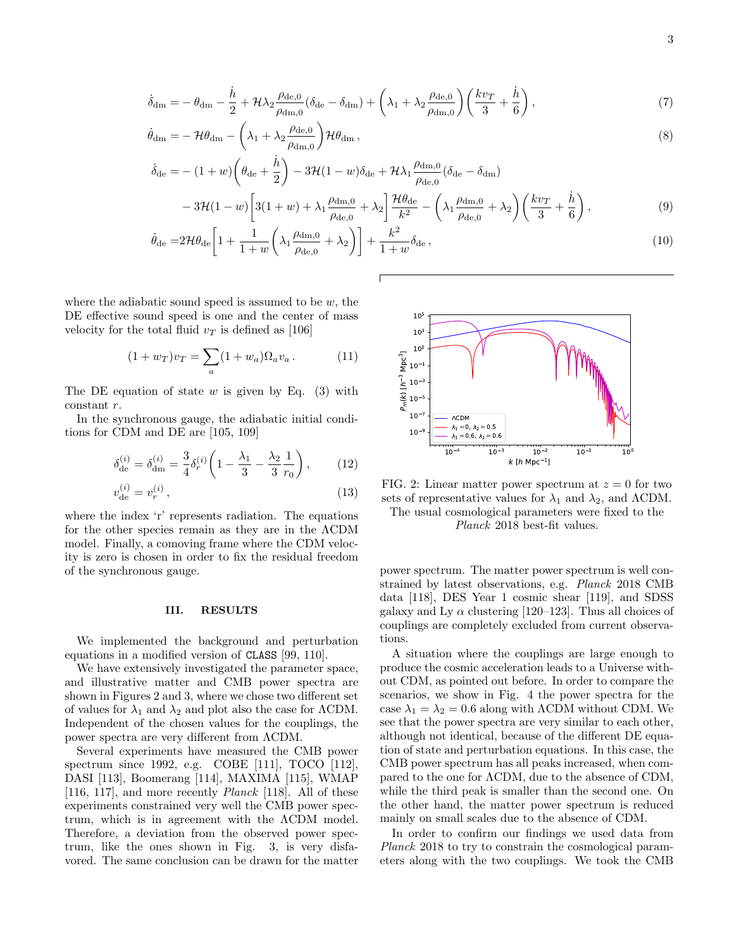$$
\dot{\delta}_{\rm dm} = -\theta_{\rm dm} - \frac{\dot{h}}{2} + \mathcal{H}\lambda_2 \frac{\rho_{\rm de,0}}{\rho_{\rm dm,0}} (\delta_{\rm de} - \delta_{\rm dm}) + \left(\lambda_1 + \lambda_2 \frac{\rho_{\rm de,0}}{\rho_{\rm dm,0}}\right) \left(\frac{k v_T}{3} + \frac{\dot{h}}{6}\right),\tag{7}
$$

$$
\dot{\theta}_{\rm dm} = -\mathcal{H}\theta_{\rm dm} - \left(\lambda_1 + \lambda_2 \frac{\rho_{\rm de,0}}{\rho_{\rm dm,0}}\right) \mathcal{H}\theta_{\rm dm},\tag{8}
$$

$$
\dot{\delta}_{\text{de}} = -(1+w)\left(\theta_{\text{de}} + \frac{\dot{h}}{2}\right) - 3\mathcal{H}(1-w)\delta_{\text{de}} + \mathcal{H}\lambda_1 \frac{\rho_{\text{dm},0}}{\rho_{\text{de},0}} (\delta_{\text{de}} - \delta_{\text{dm}}) \n- 3\mathcal{H}(1-w)\left[3(1+w) + \lambda_1 \frac{\rho_{\text{dm},0}}{\rho_{\text{de},0}} + \lambda_2\right] \frac{\mathcal{H}\theta_{\text{de}}}{k^2} - \left(\lambda_1 \frac{\rho_{\text{dm},0}}{\rho_{\text{de},0}} + \lambda_2\right) \left(\frac{kv_T}{3} + \frac{\dot{h}}{6}\right),
$$
\n(9)

$$
\dot{\theta}_{\text{de}} = 2\mathcal{H}\theta_{\text{de}} \left[ 1 + \frac{1}{1+w} \left( \lambda_1 \frac{\rho_{\text{dm},0}}{\rho_{\text{de},0}} + \lambda_2 \right) \right] + \frac{k^2}{1+w} \delta_{\text{de}} \,, \tag{10}
$$

where the adiabatic sound speed is assumed to be  $w$ , the DE effective sound speed is one and the center of mass velocity for the total fluid  $v<sub>T</sub>$  is defined as [\[106\]](#page-6-11)

$$
(1 + w_T)v_T = \sum_a (1 + w_a)\Omega_a v_a.
$$
 (11)

The DE equation of state w is given by Eq.  $(3)$  with constant r.

In the synchronous gauge, the adiabatic initial conditions for CDM and DE are [\[105,](#page-6-9) [109\]](#page-6-13)

$$
\delta_{\text{de}}^{(i)} = \delta_{\text{dm}}^{(i)} = \frac{3}{4} \delta_r^{(i)} \left( 1 - \frac{\lambda_1}{3} - \frac{\lambda_2}{3} \frac{1}{r_0} \right), \tag{12}
$$

$$
v_{\rm de}^{(i)} = v_r^{(i)}\,,\tag{13}
$$

where the index 'r' represents radiation. The equations for the other species remain as they are in the ΛCDM model. Finally, a comoving frame where the CDM velocity is zero is chosen in order to fix the residual freedom of the synchronous gauge.

### <span id="page-2-0"></span>III. RESULTS

We implemented the background and perturbation equations in a modified version of CLASS [\[99,](#page-6-3) [110\]](#page-6-14).

We have extensively investigated the parameter space, and illustrative matter and CMB power spectra are shown in Figures [2](#page-2-1) and [3,](#page-3-1) where we chose two different set of values for  $\lambda_1$  and  $\lambda_2$  and plot also the case for  $\Lambda$ CDM. Independent of the chosen values for the couplings, the power spectra are very different from ΛCDM.

Several experiments have measured the CMB power spectrum since 1992, e.g. COBE [\[111\]](#page-6-15), TOCO [\[112\]](#page-6-16), DASI [\[113\]](#page-7-0), Boomerang [\[114\]](#page-7-1), MAXIMA [\[115\]](#page-7-2), WMAP [\[116,](#page-7-3) [117\]](#page-7-4), and more recently Planck [\[118\]](#page-7-5). All of these experiments constrained very well the CMB power spectrum, which is in agreement with the ΛCDM model. Therefore, a deviation from the observed power spectrum, like the ones shown in Fig. [3,](#page-3-1) is very disfavored. The same conclusion can be drawn for the matter

<span id="page-2-1"></span>

FIG. 2: Linear matter power spectrum at  $z = 0$  for two sets of representative values for  $\lambda_1$  and  $\lambda_2$ , and  $\Lambda$ CDM. The usual cosmological parameters were fixed to the

Planck 2018 best-fit values.

power spectrum. The matter power spectrum is well constrained by latest observations, e.g. Planck 2018 CMB data [\[118\]](#page-7-5), DES Year 1 cosmic shear [\[119\]](#page-7-6), and SDSS galaxy and Ly  $\alpha$  clustering [\[120](#page-7-7)[–123\]](#page-7-8). Thus all choices of couplings are completely excluded from current observations.

A situation where the couplings are large enough to produce the cosmic acceleration leads to a Universe without CDM, as pointed out before. In order to compare the scenarios, we show in Fig. [4](#page-3-2) the power spectra for the case  $\lambda_1 = \lambda_2 = 0.6$  along with  $\Lambda$ CDM without CDM. We see that the power spectra are very similar to each other, although not identical, because of the different DE equation of state and perturbation equations. In this case, the CMB power spectrum has all peaks increased, when compared to the one for ΛCDM, due to the absence of CDM, while the third peak is smaller than the second one. On the other hand, the matter power spectrum is reduced mainly on small scales due to the absence of CDM.

In order to confirm our findings we used data from Planck 2018 to try to constrain the cosmological parameters along with the two couplings. We took the CMB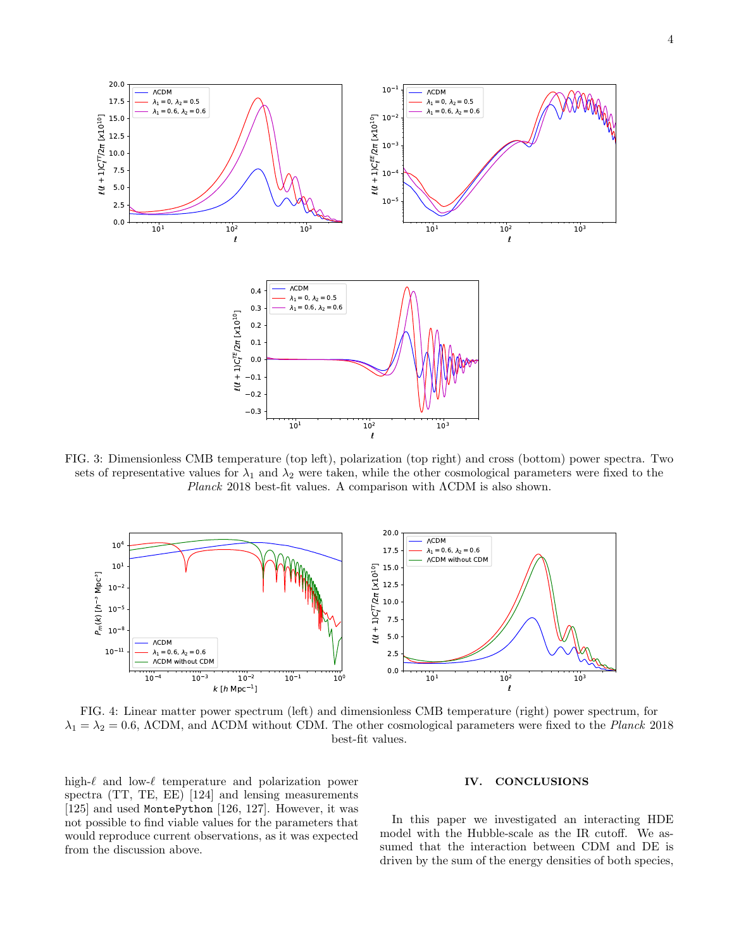<span id="page-3-1"></span>

FIG. 3: Dimensionless CMB temperature (top left), polarization (top right) and cross (bottom) power spectra. Two sets of representative values for  $\lambda_1$  and  $\lambda_2$  were taken, while the other cosmological parameters were fixed to the Planck 2018 best-fit values. A comparison with ΛCDM is also shown.

<span id="page-3-2"></span>

FIG. 4: Linear matter power spectrum (left) and dimensionless CMB temperature (right) power spectrum, for  $\lambda_1 = \lambda_2 = 0.6$ , ΛCDM, and ΛCDM without CDM. The other cosmological parameters were fixed to the *Planck* 2018 best-fit values.

high- $\ell$  and low- $\ell$  temperature and polarization power spectra (TT, TE, EE) [\[124\]](#page-7-9) and lensing measurements [\[125\]](#page-7-10) and used MontePython [\[126,](#page-7-11) [127\]](#page-7-12). However, it was not possible to find viable values for the parameters that would reproduce current observations, as it was expected from the discussion above.

### <span id="page-3-0"></span>IV. CONCLUSIONS

In this paper we investigated an interacting HDE model with the Hubble-scale as the IR cutoff. We assumed that the interaction between CDM and DE is driven by the sum of the energy densities of both species,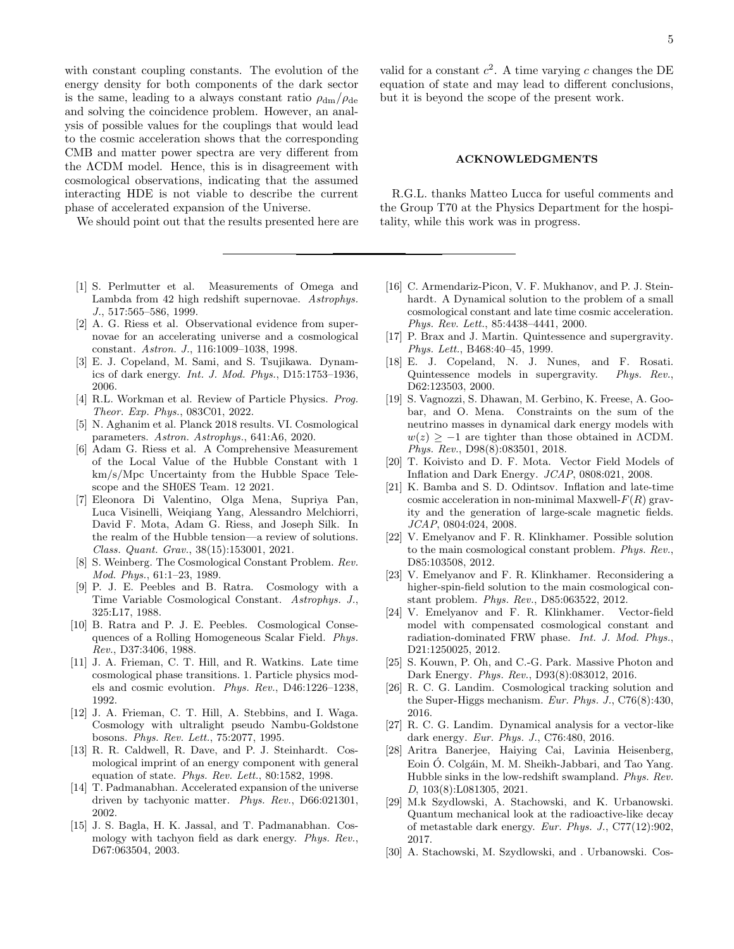with constant coupling constants. The evolution of the energy density for both components of the dark sector is the same, leading to a always constant ratio  $\rho_{dm}/\rho_{de}$ and solving the coincidence problem. However, an analysis of possible values for the couplings that would lead to the cosmic acceleration shows that the corresponding CMB and matter power spectra are very different from the ΛCDM model. Hence, this is in disagreement with cosmological observations, indicating that the assumed interacting HDE is not viable to describe the current phase of accelerated expansion of the Universe.

We should point out that the results presented here are

- <span id="page-4-0"></span>[1] S. Perlmutter et al. Measurements of Omega and Lambda from 42 high redshift supernovae. Astrophys. J., 517:565–586, 1999.
- <span id="page-4-1"></span>[2] A. G. Riess et al. Observational evidence from supernovae for an accelerating universe and a cosmological constant. Astron. J., 116:1009–1038, 1998.
- <span id="page-4-2"></span>[3] E. J. Copeland, M. Sami, and S. Tsujikawa. Dynamics of dark energy. Int. J. Mod. Phys., D15:1753–1936, 2006.
- <span id="page-4-3"></span>[4] R.L. Workman et al. Review of Particle Physics. Prog. Theor. Exp. Phys., 083C01, 2022.
- <span id="page-4-4"></span>[5] N. Aghanim et al. Planck 2018 results. VI. Cosmological parameters. Astron. Astrophys., 641:A6, 2020.
- <span id="page-4-5"></span>[6] Adam G. Riess et al. A Comprehensive Measurement of the Local Value of the Hubble Constant with 1 km/s/Mpc Uncertainty from the Hubble Space Telescope and the SH0ES Team. 12 2021.
- <span id="page-4-6"></span>[7] Eleonora Di Valentino, Olga Mena, Supriya Pan, Luca Visinelli, Weiqiang Yang, Alessandro Melchiorri, David F. Mota, Adam G. Riess, and Joseph Silk. In the realm of the Hubble tension—a review of solutions. Class. Quant. Grav., 38(15):153001, 2021.
- <span id="page-4-7"></span>[8] S. Weinberg. The Cosmological Constant Problem. Rev. Mod. Phys., 61:1–23, 1989.
- <span id="page-4-8"></span>[9] P. J. E. Peebles and B. Ratra. Cosmology with a Time Variable Cosmological Constant. Astrophys. J., 325:L17, 1988.
- [10] B. Ratra and P. J. E. Peebles. Cosmological Consequences of a Rolling Homogeneous Scalar Field. Phys. Rev., D37:3406, 1988.
- [11] J. A. Frieman, C. T. Hill, and R. Watkins. Late time cosmological phase transitions. 1. Particle physics models and cosmic evolution. Phys. Rev., D46:1226–1238, 1992.
- [12] J. A. Frieman, C. T. Hill, A. Stebbins, and I. Waga. Cosmology with ultralight pseudo Nambu-Goldstone bosons. Phys. Rev. Lett., 75:2077, 1995.
- [13] R. R. Caldwell, R. Dave, and P. J. Steinhardt. Cosmological imprint of an energy component with general equation of state. Phys. Rev. Lett., 80:1582, 1998.
- [14] T. Padmanabhan. Accelerated expansion of the universe driven by tachyonic matter. Phys. Rev., D66:021301, 2002.
- [15] J. S. Bagla, H. K. Jassal, and T. Padmanabhan. Cosmology with tachyon field as dark energy. Phys. Rev., D67:063504, 2003.

valid for a constant  $c^2$ . A time varying c changes the DE equation of state and may lead to different conclusions, but it is beyond the scope of the present work.

### ACKNOWLEDGMENTS

R.G.L. thanks Matteo Lucca for useful comments and the Group T70 at the Physics Department for the hospitality, while this work was in progress.

- [16] C. Armendariz-Picon, V. F. Mukhanov, and P. J. Steinhardt. A Dynamical solution to the problem of a small cosmological constant and late time cosmic acceleration. Phys. Rev. Lett., 85:4438–4441, 2000.
- [17] P. Brax and J. Martin. Quintessence and supergravity. Phys. Lett., B468:40–45, 1999.
- [18] E. J. Copeland, N. J. Nunes, and F. Rosati. Quintessence models in supergravity. Phys. Rev., D62:123503, 2000.
- [19] S. Vagnozzi, S. Dhawan, M. Gerbino, K. Freese, A. Goobar, and O. Mena. Constraints on the sum of the neutrino masses in dynamical dark energy models with  $w(z) > -1$  are tighter than those obtained in  $\Lambda$ CDM. Phys. Rev., D98(8):083501, 2018.
- [20] T. Koivisto and D. F. Mota. Vector Field Models of Inflation and Dark Energy. JCAP, 0808:021, 2008.
- [21] K. Bamba and S. D. Odintsov. Inflation and late-time cosmic acceleration in non-minimal Maxwell- $F(R)$  gravity and the generation of large-scale magnetic fields. JCAP, 0804:024, 2008.
- [22] V. Emelyanov and F. R. Klinkhamer. Possible solution to the main cosmological constant problem. Phys. Rev., D85:103508, 2012.
- [23] V. Emelyanov and F. R. Klinkhamer. Reconsidering a higher-spin-field solution to the main cosmological constant problem. Phys. Rev., D85:063522, 2012.
- [24] V. Emelyanov and F. R. Klinkhamer. Vector-field model with compensated cosmological constant and radiation-dominated FRW phase. Int. J. Mod. Phys., D21:1250025, 2012.
- [25] S. Kouwn, P. Oh, and C.-G. Park. Massive Photon and Dark Energy. Phys. Rev., D93(8):083012, 2016.
- [26] R. C. G. Landim. Cosmological tracking solution and the Super-Higgs mechanism. Eur. Phys. J., C76(8):430, 2016.
- [27] R. C. G. Landim. Dynamical analysis for a vector-like dark energy. Eur. Phys. J., C76:480, 2016.
- <span id="page-4-9"></span>[28] Aritra Banerjee, Haiying Cai, Lavinia Heisenberg, Eoin Ó. Colgáin, M. M. Sheikh-Jabbari, and Tao Yang. Hubble sinks in the low-redshift swampland. Phys. Rev. D, 103(8):L081305, 2021.
- <span id="page-4-10"></span>[29] M.k Szydlowski, A. Stachowski, and K. Urbanowski. Quantum mechanical look at the radioactive-like decay of metastable dark energy. Eur. Phys. J., C77(12):902, 2017.
- [30] A. Stachowski, M. Szydlowski, and . Urbanowski. Cos-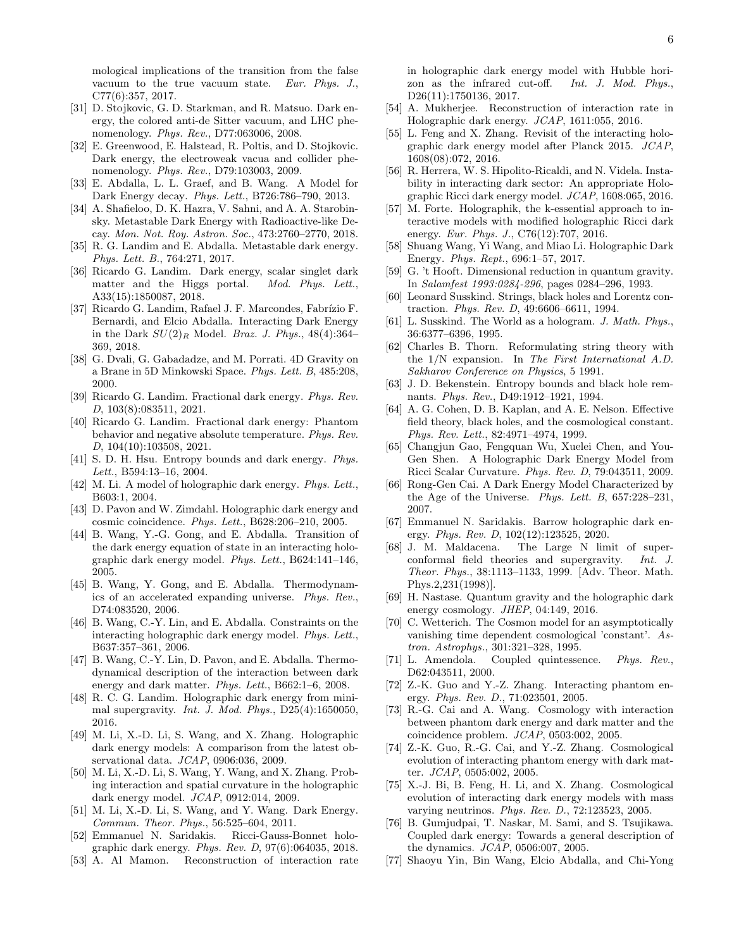mological implications of the transition from the false vacuum to the true vacuum state. Eur. Phys. J., C77(6):357, 2017.

- [31] D. Stojkovic, G. D. Starkman, and R. Matsuo. Dark energy, the colored anti-de Sitter vacuum, and LHC phenomenology. Phys. Rev., D77:063006, 2008.
- [32] E. Greenwood, E. Halstead, R. Poltis, and D. Stojkovic. Dark energy, the electroweak vacua and collider phenomenology. Phys. Rev., D79:103003, 2009.
- [33] E. Abdalla, L. L. Graef, and B. Wang. A Model for Dark Energy decay. Phys. Lett., B726:786–790, 2013.
- [34] A. Shafieloo, D. K. Hazra, V. Sahni, and A. A. Starobinsky. Metastable Dark Energy with Radioactive-like Decay. Mon. Not. Roy. Astron. Soc., 473:2760–2770, 2018.
- [35] R. G. Landim and E. Abdalla. Metastable dark energy. Phys. Lett. B., 764:271, 2017.
- [36] Ricardo G. Landim. Dark energy, scalar singlet dark matter and the Higgs portal. Mod. Phys. Lett., A33(15):1850087, 2018.
- <span id="page-5-0"></span>[37] Ricardo G. Landim, Rafael J. F. Marcondes, Fabrízio F. Bernardi, and Elcio Abdalla. Interacting Dark Energy in the Dark  $SU(2)_R$  Model. *Braz. J. Phys.*, 48(4):364– 369, 2018.
- <span id="page-5-1"></span>[38] G. Dvali, G. Gabadadze, and M. Porrati. 4D Gravity on a Brane in 5D Minkowski Space. Phys. Lett. B, 485:208, 2000.
- <span id="page-5-2"></span>[39] Ricardo G. Landim. Fractional dark energy. Phys. Rev. D, 103(8):083511, 2021.
- <span id="page-5-3"></span>[40] Ricardo G. Landim. Fractional dark energy: Phantom behavior and negative absolute temperature. Phys. Rev. D, 104(10):103508, 2021.
- <span id="page-5-4"></span>[41] S. D. H. Hsu. Entropy bounds and dark energy. *Phys.* Lett., B594:13–16, 2004.
- <span id="page-5-13"></span>[42] M. Li. A model of holographic dark energy. Phys. Lett., B603:1, 2004.
- <span id="page-5-21"></span>[43] D. Pavon and W. Zimdahl. Holographic dark energy and cosmic coincidence. Phys. Lett., B628:206–210, 2005.
- [44] B. Wang, Y.-G. Gong, and E. Abdalla. Transition of the dark energy equation of state in an interacting holographic dark energy model. Phys. Lett., B624:141–146, 2005.
- [45] B. Wang, Y. Gong, and E. Abdalla. Thermodynamics of an accelerated expanding universe. Phys. Rev., D74:083520, 2006.
- [46] B. Wang, C.-Y. Lin, and E. Abdalla. Constraints on the interacting holographic dark energy model. Phys. Lett., B637:357–361, 2006.
- [47] B. Wang, C.-Y. Lin, D. Pavon, and E. Abdalla. Thermodynamical description of the interaction between dark energy and dark matter. Phys. Lett., B662:1–6, 2008.
- <span id="page-5-18"></span>[48] R. C. G. Landim. Holographic dark energy from minimal supergravity. Int. J. Mod. Phys., D25(4):1650050, 2016.
- [49] M. Li, X.-D. Li, S. Wang, and X. Zhang. Holographic dark energy models: A comparison from the latest observational data. JCAP, 0906:036, 2009.
- [50] M. Li, X.-D. Li, S. Wang, Y. Wang, and X. Zhang. Probing interaction and spatial curvature in the holographic dark energy model. JCAP, 0912:014, 2009.
- [51] M. Li, X.-D. Li, S. Wang, and Y. Wang. Dark Energy. Commun. Theor. Phys., 56:525–604, 2011.
- [52] Emmanuel N. Saridakis. Ricci-Gauss-Bonnet holographic dark energy. Phys. Rev. D, 97(6):064035, 2018.
- [53] A. Al Mamon. Reconstruction of interaction rate

in holographic dark energy model with Hubble horizon as the infrared cut-off. Int. J. Mod. Phys., D<sub>26</sub>(11):1750136, 2017.

- [54] A. Mukherjee. Reconstruction of interaction rate in Holographic dark energy. JCAP, 1611:055, 2016.
- [55] L. Feng and X. Zhang. Revisit of the interacting holographic dark energy model after Planck 2015. JCAP, 1608(08):072, 2016.
- [56] R. Herrera, W. S. Hipolito-Ricaldi, and N. Videla. Instability in interacting dark sector: An appropriate Holographic Ricci dark energy model. JCAP, 1608:065, 2016.
- <span id="page-5-5"></span>[57] M. Forte. Holographik, the k-essential approach to interactive models with modified holographic Ricci dark energy. *Eur. Phys. J.*, C76(12):707, 2016.
- <span id="page-5-6"></span>[58] Shuang Wang, Yi Wang, and Miao Li. Holographic Dark Energy. Phys. Rept., 696:1–57, 2017.
- <span id="page-5-7"></span>[59] G. 't Hooft. Dimensional reduction in quantum gravity. In Salamfest 1993:0284-296, pages 0284–296, 1993.
- <span id="page-5-8"></span>[60] Leonard Susskind. Strings, black holes and Lorentz contraction. Phys. Rev. D, 49:6606–6611, 1994.
- <span id="page-5-9"></span>[61] L. Susskind. The World as a hologram. J. Math. Phys., 36:6377–6396, 1995.
- <span id="page-5-10"></span>[62] Charles B. Thorn. Reformulating string theory with the 1/N expansion. In The First International A.D. Sakharov Conference on Physics, 5 1991.
- <span id="page-5-11"></span>[63] J. D. Bekenstein. Entropy bounds and black hole remnants. Phys. Rev., D49:1912–1921, 1994.
- <span id="page-5-12"></span>[64] A. G. Cohen, D. B. Kaplan, and A. E. Nelson. Effective field theory, black holes, and the cosmological constant. Phys. Rev. Lett., 82:4971–4974, 1999.
- <span id="page-5-14"></span>[65] Changjun Gao, Fengquan Wu, Xuelei Chen, and You-Gen Shen. A Holographic Dark Energy Model from Ricci Scalar Curvature. Phys. Rev. D, 79:043511, 2009.
- <span id="page-5-15"></span>[66] Rong-Gen Cai. A Dark Energy Model Characterized by the Age of the Universe. Phys. Lett. B, 657:228–231, 2007.
- <span id="page-5-16"></span>[67] Emmanuel N. Saridakis. Barrow holographic dark energy. Phys. Rev. D, 102(12):123525, 2020.
- <span id="page-5-17"></span>[68] J. M. Maldacena. The Large N limit of superconformal field theories and supergravity. Int. J. Theor. Phys., 38:1113–1133, 1999. [Adv. Theor. Math. Phys.2,231(1998)].
- <span id="page-5-19"></span>[69] H. Nastase. Quantum gravity and the holographic dark energy cosmology. JHEP, 04:149, 2016.
- <span id="page-5-20"></span>[70] C. Wetterich. The Cosmon model for an asymptotically vanishing time dependent cosmological 'constant'. Astron. Astrophys., 301:321–328, 1995.
- [71] L. Amendola. Coupled quintessence. Phys. Rev., D62:043511, 2000.
- [72] Z.-K. Guo and Y.-Z. Zhang. Interacting phantom energy. Phys. Rev. D., 71:023501, 2005.
- [73] R.-G. Cai and A. Wang. Cosmology with interaction between phantom dark energy and dark matter and the coincidence problem. JCAP, 0503:002, 2005.
- [74] Z.-K. Guo, R.-G. Cai, and Y.-Z. Zhang. Cosmological evolution of interacting phantom energy with dark matter. JCAP, 0505:002, 2005.
- [75] X.-J. Bi, B. Feng, H. Li, and X. Zhang. Cosmological evolution of interacting dark energy models with mass varying neutrinos. Phys. Rev. D., 72:123523, 2005.
- [76] B. Gumjudpai, T. Naskar, M. Sami, and S. Tsujikawa. Coupled dark energy: Towards a general description of the dynamics. JCAP, 0506:007, 2005.
- [77] Shaoyu Yin, Bin Wang, Elcio Abdalla, and Chi-Yong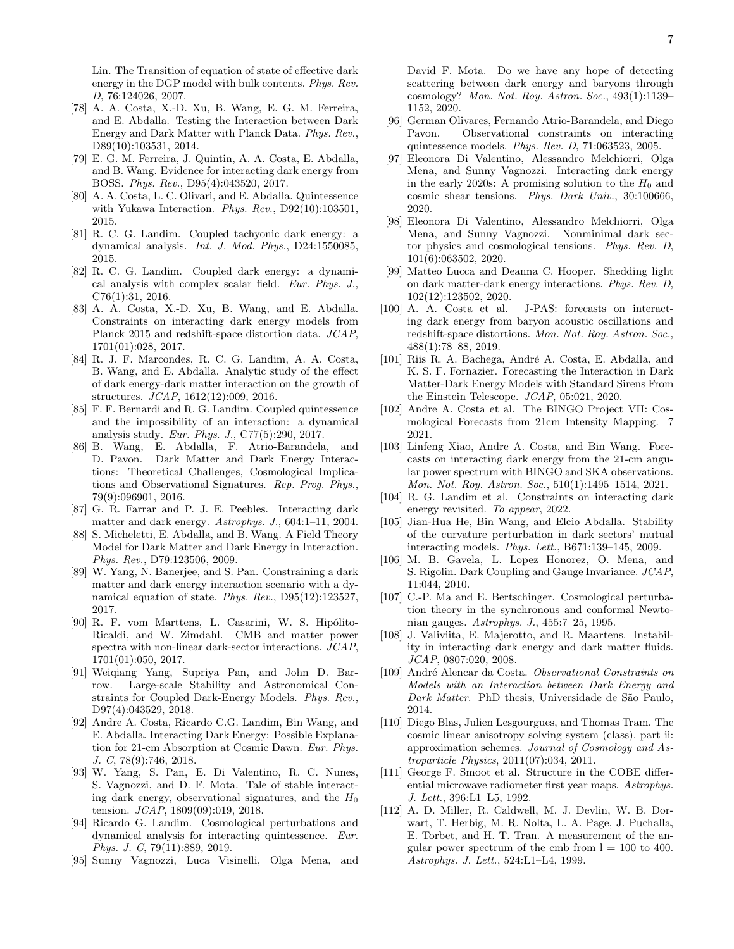Lin. The Transition of equation of state of effective dark energy in the DGP model with bulk contents. Phys. Rev. D, 76:124026, 2007.

- <span id="page-6-5"></span>[78] A. A. Costa, X.-D. Xu, B. Wang, E. G. M. Ferreira, and E. Abdalla. Testing the Interaction between Dark Energy and Dark Matter with Planck Data. Phys. Rev., D89(10):103531, 2014.
- [79] E. G. M. Ferreira, J. Quintin, A. A. Costa, E. Abdalla, and B. Wang. Evidence for interacting dark energy from BOSS. Phys. Rev., D95(4):043520, 2017.
- <span id="page-6-6"></span>[80] A. A. Costa, L. C. Olivari, and E. Abdalla. Quintessence with Yukawa Interaction. Phys. Rev., D92(10):103501, 2015.
- [81] R. C. G. Landim. Coupled tachyonic dark energy: a dynamical analysis. Int. J. Mod. Phys., D24:1550085, 2015.
- [82] R. C. G. Landim. Coupled dark energy: a dynamical analysis with complex scalar field. Eur. Phys. J., C76(1):31, 2016.
- <span id="page-6-10"></span>[83] A. A. Costa, X.-D. Xu, B. Wang, and E. Abdalla. Constraints on interacting dark energy models from Planck 2015 and redshift-space distortion data. JCAP, 1701(01):028, 2017.
- [84] R. J. F. Marcondes, R. C. G. Landim, A. A. Costa, B. Wang, and E. Abdalla. Analytic study of the effect of dark energy-dark matter interaction on the growth of structures. JCAP, 1612(12):009, 2016.
- [85] F. F. Bernardi and R. G. Landim. Coupled quintessence and the impossibility of an interaction: a dynamical analysis study. Eur. Phys. J., C77(5):290, 2017.
- <span id="page-6-4"></span>[86] B. Wang, E. Abdalla, F. Atrio-Barandela, and D. Pavon. Dark Matter and Dark Energy Interactions: Theoretical Challenges, Cosmological Implications and Observational Signatures. Rep. Prog. Phys., 79(9):096901, 2016.
- [87] G. R. Farrar and P. J. E. Peebles. Interacting dark matter and dark energy. Astrophys. J., 604:1–11, 2004.
- [88] S. Micheletti, E. Abdalla, and B. Wang. A Field Theory Model for Dark Matter and Dark Energy in Interaction. Phys. Rev., D79:123506, 2009.
- [89] W. Yang, N. Banerjee, and S. Pan. Constraining a dark matter and dark energy interaction scenario with a dynamical equation of state. Phys. Rev., D95(12):123527, 2017.
- [90] R. F. vom Marttens, L. Casarini, W. S. Hipólito-Ricaldi, and W. Zimdahl. CMB and matter power spectra with non-linear dark-sector interactions. JCAP, 1701(01):050, 2017.
- [91] Weiqiang Yang, Supriya Pan, and John D. Barrow. Large-scale Stability and Astronomical Constraints for Coupled Dark-Energy Models. Phys. Rev., D97(4):043529, 2018.
- [92] Andre A. Costa, Ricardo C.G. Landim, Bin Wang, and E. Abdalla. Interacting Dark Energy: Possible Explanation for 21-cm Absorption at Cosmic Dawn. Eur. Phys. J. C, 78(9):746, 2018.
- [93] W. Yang, S. Pan, E. Di Valentino, R. C. Nunes, S. Vagnozzi, and D. F. Mota. Tale of stable interacting dark energy, observational signatures, and the  $H_0$ tension. *JCAP*, 1809(09):019, 2018.
- [94] Ricardo G. Landim. Cosmological perturbations and dynamical analysis for interacting quintessence. Eur. Phys. J. C, 79(11):889, 2019.
- <span id="page-6-0"></span>[95] Sunny Vagnozzi, Luca Visinelli, Olga Mena, and

David F. Mota. Do we have any hope of detecting scattering between dark energy and baryons through cosmology? Mon. Not. Roy. Astron. Soc., 493(1):1139– 1152, 2020.

- <span id="page-6-1"></span>[96] German Olivares, Fernando Atrio-Barandela, and Diego Pavon. Observational constraints on interacting quintessence models. Phys. Rev. D, 71:063523, 2005.
- <span id="page-6-2"></span>[97] Eleonora Di Valentino, Alessandro Melchiorri, Olga Mena, and Sunny Vagnozzi. Interacting dark energy in the early 2020s: A promising solution to the  $H_0$  and cosmic shear tensions. Phys. Dark Univ., 30:100666, 2020.
- [98] Eleonora Di Valentino, Alessandro Melchiorri, Olga Mena, and Sunny Vagnozzi. Nonminimal dark sector physics and cosmological tensions. Phys. Rev. D, 101(6):063502, 2020.
- <span id="page-6-3"></span>[99] Matteo Lucca and Deanna C. Hooper. Shedding light on dark matter-dark energy interactions. Phys. Rev. D, 102(12):123502, 2020.
- <span id="page-6-7"></span>[100] A. A. Costa et al. J-PAS: forecasts on interacting dark energy from baryon acoustic oscillations and redshift-space distortions. Mon. Not. Roy. Astron. Soc., 488(1):78–88, 2019.
- [101] Riis R. A. Bachega, André A. Costa, E. Abdalla, and K. S. F. Fornazier. Forecasting the Interaction in Dark Matter-Dark Energy Models with Standard Sirens From the Einstein Telescope. JCAP, 05:021, 2020.
- [102] Andre A. Costa et al. The BINGO Project VII: Cosmological Forecasts from 21cm Intensity Mapping. 7 2021.
- [103] Linfeng Xiao, Andre A. Costa, and Bin Wang. Forecasts on interacting dark energy from the 21-cm angular power spectrum with BINGO and SKA observations. Mon. Not. Roy. Astron. Soc., 510(1):1495–1514, 2021.
- <span id="page-6-8"></span>[104] R. G. Landim et al. Constraints on interacting dark energy revisited. To appear, 2022.
- <span id="page-6-9"></span>[105] Jian-Hua He, Bin Wang, and Elcio Abdalla. Stability of the curvature perturbation in dark sectors' mutual interacting models. Phys. Lett., B671:139–145, 2009.
- <span id="page-6-11"></span>[106] M. B. Gavela, L. Lopez Honorez, O. Mena, and S. Rigolin. Dark Coupling and Gauge Invariance. JCAP, 11:044, 2010.
- [107] C.-P. Ma and E. Bertschinger. Cosmological perturbation theory in the synchronous and conformal Newtonian gauges. Astrophys. J., 455:7–25, 1995.
- <span id="page-6-12"></span>[108] J. Valiviita, E. Majerotto, and R. Maartens. Instability in interacting dark energy and dark matter fluids. JCAP, 0807:020, 2008.
- <span id="page-6-13"></span>[109] André Alencar da Costa. Observational Constraints on Models with an Interaction between Dark Energy and Dark Matter. PhD thesis, Universidade de São Paulo, 2014.
- <span id="page-6-14"></span>[110] Diego Blas, Julien Lesgourgues, and Thomas Tram. The cosmic linear anisotropy solving system (class). part ii: approximation schemes. Journal of Cosmology and Astroparticle Physics, 2011(07):034, 2011.
- <span id="page-6-15"></span>[111] George F. Smoot et al. Structure in the COBE differential microwave radiometer first year maps. Astrophys. J. Lett., 396:L1–L5, 1992.
- <span id="page-6-16"></span>[112] A. D. Miller, R. Caldwell, M. J. Devlin, W. B. Dorwart, T. Herbig, M. R. Nolta, L. A. Page, J. Puchalla, E. Torbet, and H. T. Tran. A measurement of the angular power spectrum of the cmb from  $l = 100$  to 400. Astrophys. J. Lett., 524:L1–L4, 1999.